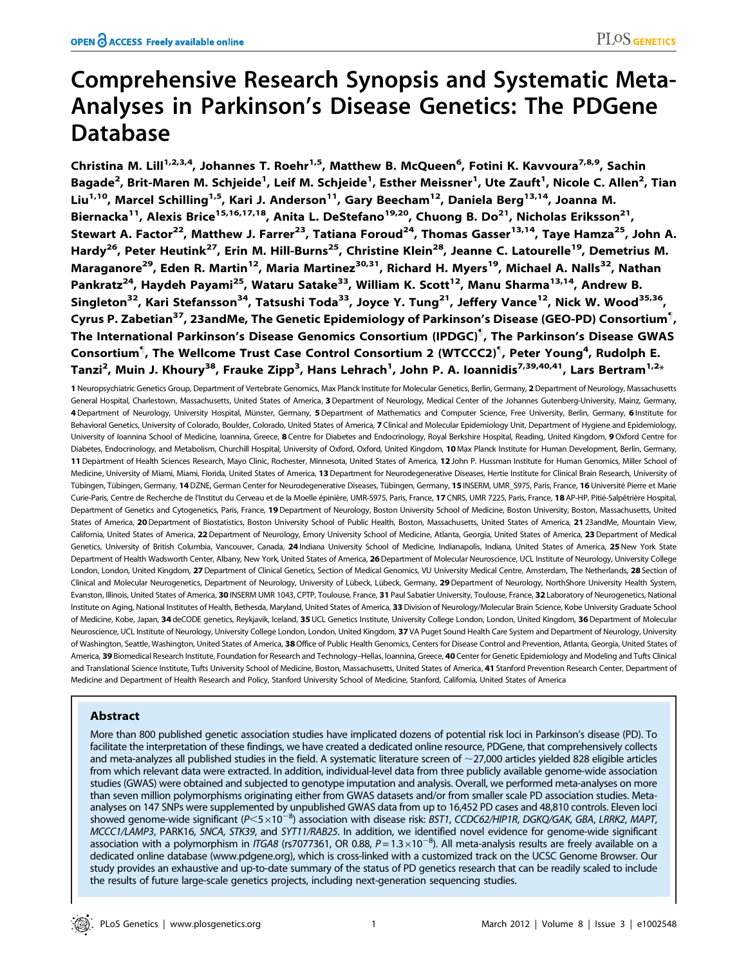# Comprehensive Research Synopsis and Systematic Meta-Analyses in Parkinson's Disease Genetics: The PDGene Database

Christina M. Lill<sup>1,2,3,4</sup>, Johannes T. Roehr<sup>1,5</sup>, Matthew B. McQueen<sup>6</sup>, Fotini K. Kavvoura<sup>7,8,9</sup>, Sachin Bagade<sup>2</sup>, Brit-Maren M. Schjeide<sup>1</sup>, Leif M. Schjeide<sup>1</sup>, Esther Meissner<sup>1</sup>, Ute Zauft<sup>1</sup>, Nicole C. Allen<sup>2</sup>, Tian Liu<sup>1,10</sup>, Marcel Schilling<sup>1,5</sup>, Kari J. Anderson<sup>11</sup>, Gary Beecham<sup>12</sup>, Daniela Berg<sup>13,14</sup>, Joanna M. Biernacka<sup>11</sup>, Alexis Brice<sup>15,16,17,18</sup>, Anita L. DeStefano<sup>19,20</sup>, Chuong B. Do<sup>21</sup>, Nicholas Eriksson<sup>21</sup>, Stewart A. Factor<sup>22</sup>, Matthew J. Farrer<sup>23</sup>, Tatiana Foroud<sup>24</sup>, Thomas Gasser<sup>13,14</sup>, Tave Hamza<sup>25</sup>, John A. Hardy<sup>26</sup>, Peter Heutink<sup>27</sup>, Erin M. Hill-Burns<sup>25</sup>, Christine Klein<sup>28</sup>, Jeanne C. Latourelle<sup>19</sup>, Demetrius M. Maraganore<sup>29</sup>, Eden R. Martin<sup>12</sup>, Maria Martinez<sup>30,31</sup>, Richard H. Myers<sup>19</sup>, Michael A. Nalls<sup>32</sup>, Nathan Pankratz<sup>24</sup>, Haydeh Payami<sup>25</sup>, Wataru Satake<sup>33</sup>, William K. Scott<sup>12</sup>, Manu Sharma<sup>13,14</sup>, Andrew B. Singleton<sup>32</sup>, Kari Stefansson<sup>34</sup>, Tatsushi Toda<sup>33</sup>, Joyce Y. Tung<sup>21</sup>, Jeffery Vance<sup>12</sup>, Nick W. Wood<sup>35,36</sup>, Cyrus P. Zabetian $^{37}$ , 23andMe, The Genetic Epidemiology of Parkinson's Disease (GEO-PD) Consortium $^{\P},$ The International Parkinson's Disease Genomics Consortium (IPDGC)" , The Parkinson's Disease GWAS Consortium<sup>¶</sup>, The Wellcome Trust Case Control Consortium 2 (WTCCC2)<sup>¶</sup>, Peter Young<sup>4</sup>, Rudolph E. Tanzi<sup>2</sup>, Muin J. Khoury<sup>38</sup>, Frauke Zipp<sup>3</sup>, Hans Lehrach<sup>1</sup>, John P. A. Ioannidis<sup>7,39,40,41</sup>, Lars Bertram<sup>1,2</sup>\*

1 Neuropsychiatric Genetics Group, Department of Vertebrate Genomics, Max Planck Institute for Molecular Genetics, Berlin, Germany, 2 Department of Neurology, Massachusetts General Hospital, Charlestown, Massachusetts, United States of America, 3Department of Neurology, Medical Center of the Johannes Gutenberg-University, Mainz, Germany, 4 Department of Neurology, University Hospital, Münster, Germany, 5 Department of Mathematics and Computer Science, Free University, Berlin, Germany, 6 Institute for Behavioral Genetics, University of Colorado, Boulder, Colorado, United States of America, 7 Clinical and Molecular Epidemiology Unit, Department of Hygiene and Epidemiology, University of Ioannina School of Medicine, Ioannina, Greece, 8 Centre for Diabetes and Endocrinology, Royal Berkshire Hospital, Reading, United Kingdom, 9 Oxford Centre for Diabetes, Endocrinology, and Metabolism, Churchill Hospital, University of Oxford, Oxford, United Kingdom, 10 Max Planck Institute for Human Development, Berlin, Germany, 11 Department of Health Sciences Research, Mayo Clinic, Rochester, Minnesota, United States of America, 12 John P. Hussman Institute for Human Genomics, Miller School of Medicine, University of Miami, Miami, Florida, United States of America, 13Department for Neurodegenerative Diseases, Hertie Institute for Clinical Brain Research, University of Tübingen, Tübingen, Germany, 14DZNE, German Center for Neurodegenerative Diseases, Tübingen, Germany, 15 INSERM, UMR\_S975, Paris, France, 16 Université Pierre et Marie Curie-Paris, Centre de Recherche de l'Institut du Cerveau et de la Moelle épinière, UMR-S975, Paris, France, 17 CNRS, UMR 7225, Paris, France, 18 AP-HP, Pitié-Salpêtrière Hospital, Department of Genetics and Cytogenetics, Paris, France, 19 Department of Neurology, Boston University School of Medicine, Boston University, Boston, Massachusetts, United States of America, 20Department of Biostatistics, Boston University School of Public Health, Boston, Massachusetts, United States of America, 2123andMe, Mountain View, Califomia, United States of America, 22 Department of Neurology, Emory University School of Medicine, Atlanta, Georgia, United States of America, 23 Department of Medical Genetics, University of British Columbia, Vancouver, Canada, 24 Indiana University School of Medicine, Indianapolis, Indiana, United States of America, 25 New York State Department of Health Wadsworth Center, Albany, New York, United States of America, 26 Department of Molecular Neuroscience, UCL Institute of Neurology, University College London, London, United Kingdom, 27 Department of Clinical Genetics, Section of Medical Genomics, VU University Medical Centre, Amsterdam, The Netherlands, 28 Section of Clinical and Molecular Neurogenetics, Department of Neurology, University of Lübeck, Lübeck, Germany, 29 Department of Neurology, NorthShore University Health System, Evanston, Illinois, United States of America, 30 INSERM UMR 1043, CPTP, Toulouse, France, 31 Paul Sabatier University, Toulouse, France, 32 Laboratory of Neurogenetics, National Institute on Aging, National Institutes of Health, Bethesda, Maryland, United States of America, 33 Division of Neurology/Molecular Brain Science, Kobe University Graduate School of Medicine, Kobe, Japan, 34 deCODE genetics, Reykjavik, Iceland, 35 UCL Genetics Institute, University College London, London, United Kingdom, 36 Department of Molecular Neuroscience, UCL Institute of Neurology, University College London, London, United Kingdom, 37 VA Puget Sound Health Care System and Department of Neurology, University of Washington, Seattle, Washington, United States of America, 38 Office of Public Health Genomics, Centers for Disease Control and Prevention, Atlanta, Georgia, United States of America, 39 Biomedical Research Institute, Foundation for Research and Technology–Hellas, Ioannina, Greece, 40 Center for Genetic Epidemiology and Modeling and Tufts Clinical and Translational Science Institute, Tufts University School of Medicine, Boston, Massachusetts, United States of America, 41 Stanford Prevention Research Center, Department of Medicine and Department of Health Research and Policy, Stanford University School of Medicine, Stanford, California, United States of America

## Abstract

More than 800 published genetic association studies have implicated dozens of potential risk loci in Parkinson's disease (PD). To facilitate the interpretation of these findings, we have created a dedicated online resource, PDGene, that comprehensively collects and meta-analyzes all published studies in the field. A systematic literature screen of  $\sim$ 27,000 articles yielded 828 eligible articles from which relevant data were extracted. In addition, individual-level data from three publicly available genome-wide association studies (GWAS) were obtained and subjected to genotype imputation and analysis. Overall, we performed meta-analyses on more than seven million polymorphisms originating either from GWAS datasets and/or from smaller scale PD association studies. Metaanalyses on 147 SNPs were supplemented by unpublished GWAS data from up to 16,452 PD cases and 48,810 controls. Eleven loci showed genome-wide significant (P<5×10<sup>~8</sup>) association with disease risk: BST1, CCDC62/HIP1R, DGKQ/GAK, GBA, LRRK2, MAPT, MCCC1/LAMP3, PARK16, SNCA, STK39, and SYT11/RAB25. In addition, we identified novel evidence for genome-wide significant association with a polymorphism in ITGA8 (rs7077361, OR 0.88,  $P=1.3\times10^{-8}$ ). All meta-analysis results are freely available on a dedicated online database (www.pdgene.org), which is cross-linked with a customized track on the UCSC Genome Browser. Our study provides an exhaustive and up-to-date summary of the status of PD genetics research that can be readily scaled to include the results of future large-scale genetics projects, including next-generation sequencing studies.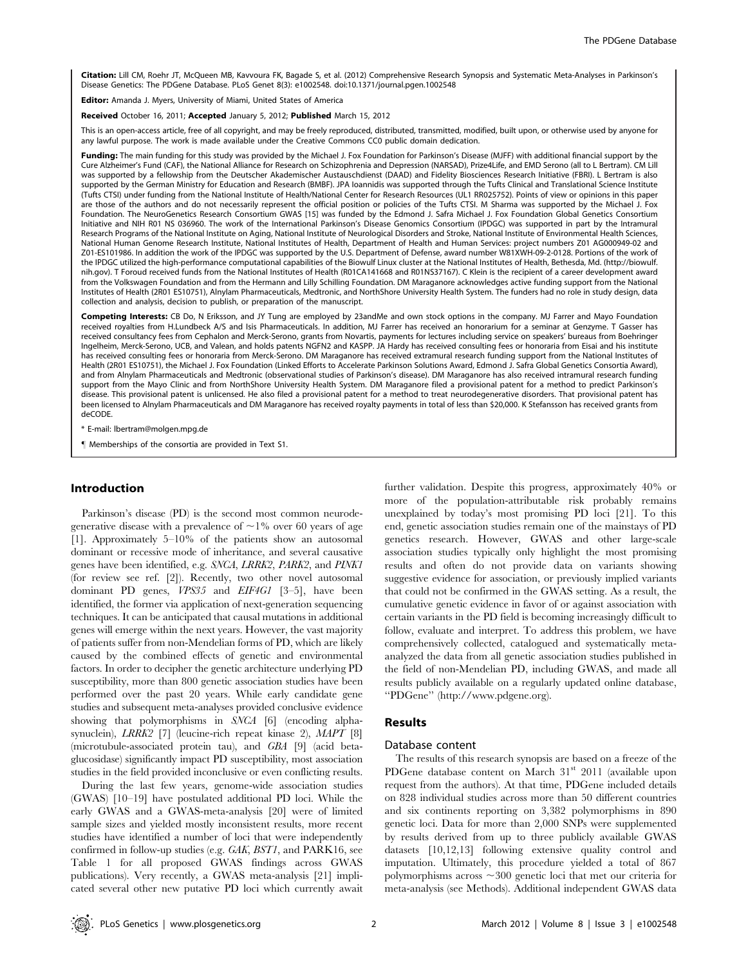Citation: Lill CM, Roehr JT, McQueen MB, Kavvoura FK, Bagade S, et al. (2012) Comprehensive Research Synopsis and Systematic Meta-Analyses in Parkinson's Disease Genetics: The PDGene Database. PLoS Genet 8(3): e1002548. doi:10.1371/journal.pgen.1002548

Editor: Amanda J. Myers, University of Miami, United States of America

Received October 16, 2011; Accepted January 5, 2012; Published March 15, 2012

This is an open-access article, free of all copyright, and may be freely reproduced, distributed, transmitted, modified, built upon, or otherwise used by anyone for any lawful purpose. The work is made available under the Creative Commons CC0 public domain dedication.

Funding: The main funding for this study was provided by the Michael J. Fox Foundation for Parkinson's Disease (MJFF) with additional financial support by the Cure Alzheimer's Fund (CAF), the National Alliance for Research on Schizophrenia and Depression (NARSAD), Prize4Life, and EMD Serono (all to L Bertram). CM Lill was supported by a fellowship from the Deutscher Akademischer Austauschdienst (DAAD) and Fidelity Biosciences Research Initiative (FBRI). L Bertram is also supported by the German Ministry for Education and Research (BMBF). JPA Ioannidis was supported through the Tufts Clinical and Translational Science Institute (Tufts CTSI) under funding from the National Institute of Health/National Center for Research Resources (UL1 RR025752). Points of view or opinions in this paper are those of the authors and do not necessarily represent the official position or policies of the Tufts CTSI. M Sharma was supported by the Michael J. Fox Foundation. The NeuroGenetics Research Consortium GWAS [15] was funded by the Edmond J. Safra Michael J. Fox Foundation Global Genetics Consortium Initiative and NIH R01 NS 036960. The work of the International Parkinson's Disease Genomics Consortium (IPDGC) was supported in part by the Intramural Research Programs of the National Institute on Aging, National Institute of Neurological Disorders and Stroke, National Institute of Environmental Health Sciences, National Human Genome Research Institute, National Institutes of Health, Department of Health and Human Services: project numbers Z01 AG000949-02 and Z01-ES101986. In addition the work of the IPDGC was supported by the U.S. Department of Defense, award number W81XWH-09-2-0128. Portions of the work of the IPDGC utilized the high-performance computational capabilities of the Biowulf Linux cluster at the National Institutes of Health, Bethesda, Md. (http://biowulf. nih.gov). T Foroud received funds from the National Institutes of Health (R01CA141668 and R01NS37167). C Klein is the recipient of a career development award from the Volkswagen Foundation and from the Hermann and Lilly Schilling Foundation. DM Maraganore acknowledges active funding support from the National Institutes of Health (2R01 ES10751), Alnylam Pharmaceuticals, Medtronic, and NorthShore University Health System. The funders had no role in study design, data collection and analysis, decision to publish, or preparation of the manuscript.

Competing Interests: CB Do, N Eriksson, and JY Tung are employed by 23andMe and own stock options in the company. MJ Farrer and Mayo Foundation received royalties from H.Lundbeck A/S and Isis Pharmaceuticals. In addition, MJ Farrer has received an honorarium for a seminar at Genzyme. T Gasser has received consultancy fees from Cephalon and Merck-Serono, grants from Novartis, payments for lectures including service on speakers' bureaus from Boehringer Ingelheim, Merck-Serono, UCB, and Valean, and holds patents NGFN2 and KASPP. JA Hardy has received consulting fees or honoraria from Eisai and his institute has received consulting fees or honoraria from Merck-Serono. DM Maraganore has received extramural research funding support from the National Institutes of Health (2R01 ES10751), the Michael J. Fox Foundation (Linked Efforts to Accelerate Parkinson Solutions Award, Edmond J. Safra Global Genetics Consortia Award), and from Alnylam Pharmaceuticals and Medtronic (observational studies of Parkinson's disease). DM Maraganore has also received intramural research funding support from the Mayo Clinic and from NorthShore University Health System. DM Maraganore filed a provisional patent for a method to predict Parkinson's disease. This provisional patent is unlicensed. He also filed a provisional patent for a method to treat neurodegenerative disorders. That provisional patent has been licensed to Alnylam Pharmaceuticals and DM Maraganore has received royalty payments in total of less than \$20,000. K Stefansson has received grants from deCODE.

\* E-mail: lbertram@molgen.mpg.de

" Memberships of the consortia are provided in Text S1.

## Introduction

Parkinson's disease (PD) is the second most common neurodegenerative disease with a prevalence of  $\sim$ 1% over 60 years of age [1]. Approximately 5–10% of the patients show an autosomal dominant or recessive mode of inheritance, and several causative genes have been identified, e.g. SNCA, LRRK2, PARK2, and PINK1 (for review see ref. [2]). Recently, two other novel autosomal dominant PD genes, VPS35 and EIF4G1 [3–5], have been identified, the former via application of next-generation sequencing techniques. It can be anticipated that causal mutations in additional genes will emerge within the next years. However, the vast majority of patients suffer from non-Mendelian forms of PD, which are likely caused by the combined effects of genetic and environmental factors. In order to decipher the genetic architecture underlying PD susceptibility, more than 800 genetic association studies have been performed over the past 20 years. While early candidate gene studies and subsequent meta-analyses provided conclusive evidence showing that polymorphisms in SNCA [6] (encoding alphasynuclein), LRRK2 [7] (leucine-rich repeat kinase 2), MAPT [8] (microtubule-associated protein tau), and GBA [9] (acid betaglucosidase) significantly impact PD susceptibility, most association studies in the field provided inconclusive or even conflicting results.

During the last few years, genome-wide association studies (GWAS) [10–19] have postulated additional PD loci. While the early GWAS and a GWAS-meta-analysis [20] were of limited sample sizes and yielded mostly inconsistent results, more recent studies have identified a number of loci that were independently confirmed in follow-up studies (e.g. GAK, BST1, and PARK16, see Table 1 for all proposed GWAS findings across GWAS publications). Very recently, a GWAS meta-analysis [21] implicated several other new putative PD loci which currently await

further validation. Despite this progress, approximately 40% or more of the population-attributable risk probably remains unexplained by today's most promising PD loci [21]. To this end, genetic association studies remain one of the mainstays of PD genetics research. However, GWAS and other large-scale association studies typically only highlight the most promising results and often do not provide data on variants showing suggestive evidence for association, or previously implied variants that could not be confirmed in the GWAS setting. As a result, the cumulative genetic evidence in favor of or against association with certain variants in the PD field is becoming increasingly difficult to follow, evaluate and interpret. To address this problem, we have comprehensively collected, catalogued and systematically metaanalyzed the data from all genetic association studies published in the field of non-Mendelian PD, including GWAS, and made all results publicly available on a regularly updated online database, ''PDGene'' (http://www.pdgene.org).

## Results

#### Database content

The results of this research synopsis are based on a freeze of the PDGene database content on March 31<sup>st</sup> 2011 (available upon request from the authors). At that time, PDGene included details on 828 individual studies across more than 50 different countries and six continents reporting on 3,382 polymorphisms in 890 genetic loci. Data for more than 2,000 SNPs were supplemented by results derived from up to three publicly available GWAS datasets [10,12,13] following extensive quality control and imputation. Ultimately, this procedure yielded a total of 867 polymorphisms across  $\sim$  300 genetic loci that met our criteria for meta-analysis (see Methods). Additional independent GWAS data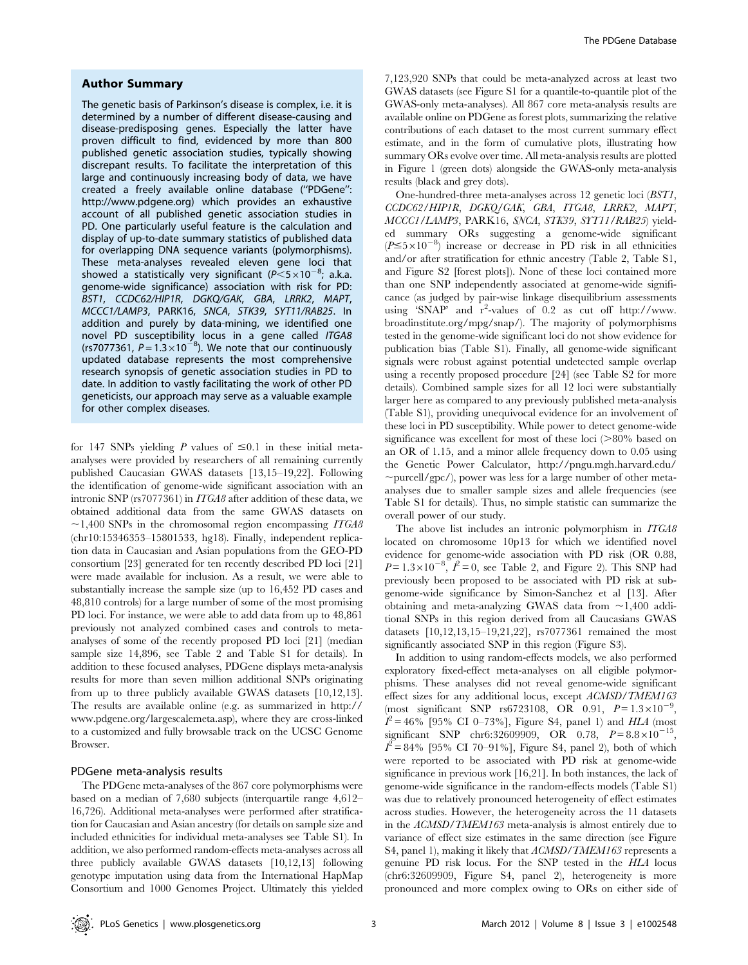#### Author Summary

The genetic basis of Parkinson's disease is complex, i.e. it is determined by a number of different disease-causing and disease-predisposing genes. Especially the latter have proven difficult to find, evidenced by more than 800 published genetic association studies, typically showing discrepant results. To facilitate the interpretation of this large and continuously increasing body of data, we have created a freely available online database (''PDGene'': http://www.pdgene.org) which provides an exhaustive account of all published genetic association studies in PD. One particularly useful feature is the calculation and display of up-to-date summary statistics of published data for overlapping DNA sequence variants (polymorphisms). These meta-analyses revealed eleven gene loci that showed a statistically very significant ( $P \le 5 \times 10^{-8}$ ; a.k.a. genome-wide significance) association with risk for PD: BST1, CCDC62/HIP1R, DGKQ/GAK, GBA, LRRK2, MAPT, MCCC1/LAMP3, PARK16, SNCA, STK39, SYT11/RAB25. In addition and purely by data-mining, we identified one novel PD susceptibility locus in a gene called *ITGA8* (rs7077361,  $P = 1.3 \times 10^{-8}$ ). We note that our continuously updated database represents the most comprehensive research synopsis of genetic association studies in PD to date. In addition to vastly facilitating the work of other PD geneticists, our approach may serve as a valuable example for other complex diseases.

for 147 SNPs yielding P values of  $\leq 0.1$  in these initial metaanalyses were provided by researchers of all remaining currently published Caucasian GWAS datasets [13,15–19,22]. Following the identification of genome-wide significant association with an intronic SNP (rs7077361) in ITGA8 after addition of these data, we obtained additional data from the same GWAS datasets on  $\sim$ 1,400 SNPs in the chromosomal region encompassing *ITGA8* (chr10:15346353–15801533, hg18). Finally, independent replication data in Caucasian and Asian populations from the GEO-PD consortium [23] generated for ten recently described PD loci [21] were made available for inclusion. As a result, we were able to substantially increase the sample size (up to 16,452 PD cases and 48,810 controls) for a large number of some of the most promising PD loci. For instance, we were able to add data from up to 48,861 previously not analyzed combined cases and controls to metaanalyses of some of the recently proposed PD loci [21] (median sample size 14,896, see Table 2 and Table S1 for details). In addition to these focused analyses, PDGene displays meta-analysis results for more than seven million additional SNPs originating from up to three publicly available GWAS datasets [10,12,13]. The results are available online (e.g. as summarized in http:// www.pdgene.org/largescalemeta.asp), where they are cross-linked to a customized and fully browsable track on the UCSC Genome Browser.

#### PDGene meta-analysis results

The PDGene meta-analyses of the 867 core polymorphisms were based on a median of 7,680 subjects (interquartile range 4,612– 16,726). Additional meta-analyses were performed after stratification for Caucasian and Asian ancestry (for details on sample size and included ethnicities for individual meta-analyses see Table S1). In addition, we also performed random-effects meta-analyses across all three publicly available GWAS datasets [10,12,13] following genotype imputation using data from the International HapMap Consortium and 1000 Genomes Project. Ultimately this yielded 7,123,920 SNPs that could be meta-analyzed across at least two GWAS datasets (see Figure S1 for a quantile-to-quantile plot of the GWAS-only meta-analyses). All 867 core meta-analysis results are available online on PDGene as forest plots, summarizing the relative contributions of each dataset to the most current summary effect estimate, and in the form of cumulative plots, illustrating how summary ORs evolve over time. All meta-analysis results are plotted in Figure 1 (green dots) alongside the GWAS-only meta-analysis results (black and grey dots).

One-hundred-three meta-analyses across 12 genetic loci (BST1, CCDC62/HIP1R, DGKQ/GAK, GBA, ITGA8, LRRK2, MAPT, MCCC1/LAMP3, PARK16, SNCA, STK39, SYT11/RAB25) yielded summary ORs suggesting a genome-wide significant  $(P \le 5 \times 10^{-8})$  increase or decrease in PD risk in all ethnicities and/or after stratification for ethnic ancestry (Table 2, Table S1, and Figure S2 [forest plots]). None of these loci contained more than one SNP independently associated at genome-wide significance (as judged by pair-wise linkage disequilibrium assessments using 'SNAP' and  $r^2$ -values of 0.2 as cut off http://www. broadinstitute.org/mpg/snap/). The majority of polymorphisms tested in the genome-wide significant loci do not show evidence for publication bias (Table S1). Finally, all genome-wide significant signals were robust against potential undetected sample overlap using a recently proposed procedure [24] (see Table S2 for more details). Combined sample sizes for all 12 loci were substantially larger here as compared to any previously published meta-analysis (Table S1), providing unequivocal evidence for an involvement of these loci in PD susceptibility. While power to detect genome-wide significance was excellent for most of these loci  $(>80\%$  based on an OR of 1.15, and a minor allele frequency down to 0.05 using the Genetic Power Calculator, http://pngu.mgh.harvard.edu/  $\sim$ purcell/gpc/), power was less for a large number of other metaanalyses due to smaller sample sizes and allele frequencies (see Table S1 for details). Thus, no simple statistic can summarize the overall power of our study.

The above list includes an intronic polymorphism in ITGA8 located on chromosome 10p13 for which we identified novel evidence for genome-wide association with PD risk (OR 0.88,  $P = 1.3 \times 10^{-8}$ ,  $\ell^2 = 0$ , see Table 2, and Figure 2). This SNP had previously been proposed to be associated with PD risk at subgenome-wide significance by Simon-Sanchez et al [13]. After obtaining and meta-analyzing GWAS data from  $\sim$ 1,400 additional SNPs in this region derived from all Caucasians GWAS datasets [10,12,13,15–19,21,22], rs7077361 remained the most significantly associated SNP in this region (Figure S3).

In addition to using random-effects models, we also performed exploratory fixed-effect meta-analyses on all eligible polymorphisms. These analyses did not reveal genome-wide significant effect sizes for any additional locus, except ACMSD/TMEM163 (most significant SNP rs6723108, OR 0.91,  $P = 1.3 \times 10^{-9}$ ,  $I^2 = 46\%$  [95% CI 0–73%], Figure S4, panel 1) and HLA (most significant SNP chr6:32609909, OR 0.78,  $P = 8.8 \times 10^{-15}$ ,  $I^2 = 84\%$  [95% CI 70–91%], Figure S4, panel 2), both of which were reported to be associated with PD risk at genome-wide significance in previous work [16,21]. In both instances, the lack of genome-wide significance in the random-effects models (Table S1) was due to relatively pronounced heterogeneity of effect estimates across studies. However, the heterogeneity across the 11 datasets in the ACMSD/TMEM163 meta-analysis is almost entirely due to variance of effect size estimates in the same direction (see Figure S4, panel 1), making it likely that ACMSD/TMEM163 represents a genuine PD risk locus. For the SNP tested in the HLA locus (chr6:32609909, Figure S4, panel 2), heterogeneity is more pronounced and more complex owing to ORs on either side of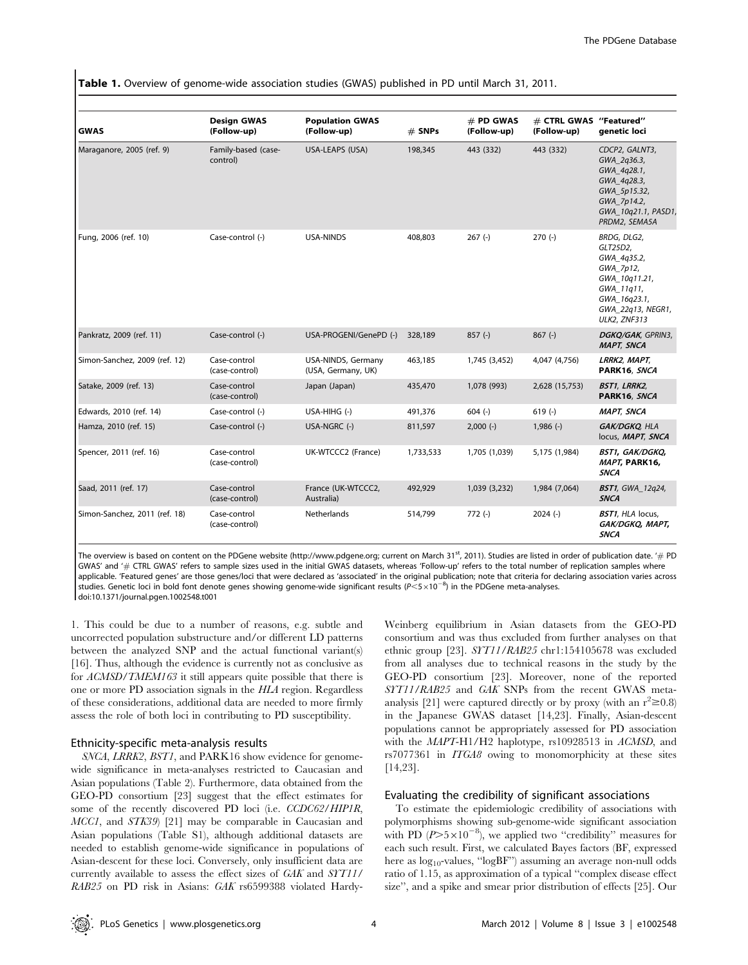| <b>GWAS</b>                   | <b>Design GWAS</b><br>(Follow-up) | <b>Population GWAS</b><br>(Follow-up)    | $#$ SNPs  | # PD GWAS<br>(Follow-up) | # CTRL GWAS "Featured"<br>(Follow-up) | genetic loci                                                                                                                            |
|-------------------------------|-----------------------------------|------------------------------------------|-----------|--------------------------|---------------------------------------|-----------------------------------------------------------------------------------------------------------------------------------------|
| Maraganore, 2005 (ref. 9)     | Family-based (case-<br>control)   | USA-LEAPS (USA)                          | 198,345   | 443 (332)                | 443 (332)                             | CDCP2, GALNT3,<br>GWA_2q36.3,<br>GWA_4q28.1,<br>GWA_4q28.3,<br>GWA_5p15.32,<br>GWA_7p14.2,<br>GWA 10g21.1, PASD1,<br>PRDM2, SEMA5A      |
| Fung, 2006 (ref. 10)          | Case-control (-)                  | USA-NINDS                                | 408,803   | $267$ (-)                | $270(-)$                              | BRDG, DLG2,<br>GLT25D2,<br>GWA_4q35.2,<br>GWA_7p12,<br>GWA_10q11.21,<br>GWA_11q11,<br>GWA_16q23.1,<br>GWA 22q13, NEGR1,<br>ULK2, ZNF313 |
| Pankratz, 2009 (ref. 11)      | Case-control (-)                  | USA-PROGENI/GenePD (-)                   | 328,189   | $857(-)$                 | $867$ (-)                             | DGKQ/GAK, GPRIN3,<br><b>MAPT, SNCA</b>                                                                                                  |
| Simon-Sanchez, 2009 (ref. 12) | Case-control<br>(case-control)    | USA-NINDS, Germany<br>(USA, Germany, UK) | 463,185   | 1,745 (3,452)            | 4,047 (4,756)                         | LRRK2, MAPT,<br>PARK16, SNCA                                                                                                            |
| Satake, 2009 (ref. 13)        | Case-control<br>(case-control)    | Japan (Japan)                            | 435,470   | 1.078 (993)              | 2,628 (15,753)                        | <b>BST1, LRRK2,</b><br>PARK16, SNCA                                                                                                     |
| Edwards, 2010 (ref. 14)       | Case-control (-)                  | USA-HIHG (-)                             | 491,376   | $604$ (-)                | $619(-)$                              | <b>MAPT, SNCA</b>                                                                                                                       |
| Hamza, 2010 (ref. 15)         | Case-control (-)                  | USA-NGRC (-)                             | 811,597   | $2,000$ (-)              | $1,986$ (-)                           | GAK/DGKQ, HLA<br>locus, MAPT, SNCA                                                                                                      |
| Spencer, 2011 (ref. 16)       | Case-control<br>(case-control)    | UK-WTCCC2 (France)                       | 1,733,533 | 1,705 (1,039)            | 5,175 (1,984)                         | BST1, GAK/DGKQ,<br>MAPT, PARK16,<br><b>SNCA</b>                                                                                         |
| Saad, 2011 (ref. 17)          | Case-control<br>(case-control)    | France (UK-WTCCC2,<br>Australia)         | 492,929   | 1,039 (3,232)            | 1,984 (7,064)                         | <b>BST1</b> , GWA_12q24,<br><b>SNCA</b>                                                                                                 |
| Simon-Sanchez, 2011 (ref. 18) | Case-control<br>(case-control)    | <b>Netherlands</b>                       | 514,799   | $772(-)$                 | $2024(-)$                             | <b>BST1</b> , HLA locus,<br>GAK/DGKQ, MAPT,<br><b>SNCA</b>                                                                              |

Table 1. Overview of genome-wide association studies (GWAS) published in PD until March 31, 2011.

The overview is based on content on the PDGene website (http://www.pdgene.org; current on March 31<sup>st</sup>, 2011). Studies are listed in order of publication date. '# PD GWAS' and '# CTRL GWAS' refers to sample sizes used in the initial GWAS datasets, whereas 'Follow-up' refers to the total number of replication samples where applicable. 'Featured genes' are those genes/loci that were declared as 'associated' in the original publication; note that criteria for declaring association varies across studies. Genetic loci in bold font denote genes showing genome-wide significant results (P<5×10<sup>-8</sup>) in the PDGene meta-analyses. doi:10.1371/journal.pgen.1002548.t001

1. This could be due to a number of reasons, e.g. subtle and uncorrected population substructure and/or different LD patterns between the analyzed SNP and the actual functional variant(s) [16]. Thus, although the evidence is currently not as conclusive as for ACMSD/TMEM163 it still appears quite possible that there is one or more PD association signals in the HLA region. Regardless of these considerations, additional data are needed to more firmly assess the role of both loci in contributing to PD susceptibility.

## Ethnicity-specific meta-analysis results

SNCA, LRRK2, BST1, and PARK16 show evidence for genomewide significance in meta-analyses restricted to Caucasian and Asian populations (Table 2). Furthermore, data obtained from the GEO-PD consortium [23] suggest that the effect estimates for some of the recently discovered PD loci (i.e. CCDC62/HIP1R, MCC1, and STK39 [21] may be comparable in Caucasian and Asian populations (Table S1), although additional datasets are needed to establish genome-wide significance in populations of Asian-descent for these loci. Conversely, only insufficient data are currently available to assess the effect sizes of GAK and SYT11/ RAB25 on PD risk in Asians: GAK rs6599388 violated HardyWeinberg equilibrium in Asian datasets from the GEO-PD consortium and was thus excluded from further analyses on that ethnic group [23]. SYT11/RAB25 chr1:154105678 was excluded from all analyses due to technical reasons in the study by the GEO-PD consortium [23]. Moreover, none of the reported SYT11/RAB25 and GAK SNPs from the recent GWAS metaanalysis [21] were captured directly or by proxy (with an  $r^2 \ge 0.8$ ) in the Japanese GWAS dataset [14,23]. Finally, Asian-descent populations cannot be appropriately assessed for PD association with the *MAPT*-H1/H2 haplotype, rs10928513 in *ACMSD*, and rs7077361 in ITGA8 owing to monomorphicity at these sites [14,23].

#### Evaluating the credibility of significant associations

To estimate the epidemiologic credibility of associations with polymorphisms showing sub-genome-wide significant association with PD  $(P>5\times10^{-8})$ , we applied two "credibility" measures for each such result. First, we calculated Bayes factors (BF, expressed here as  $log_{10}$ -values, " $logBF$ ") assuming an average non-null odds ratio of 1.15, as approximation of a typical ''complex disease effect size'', and a spike and smear prior distribution of effects [25]. Our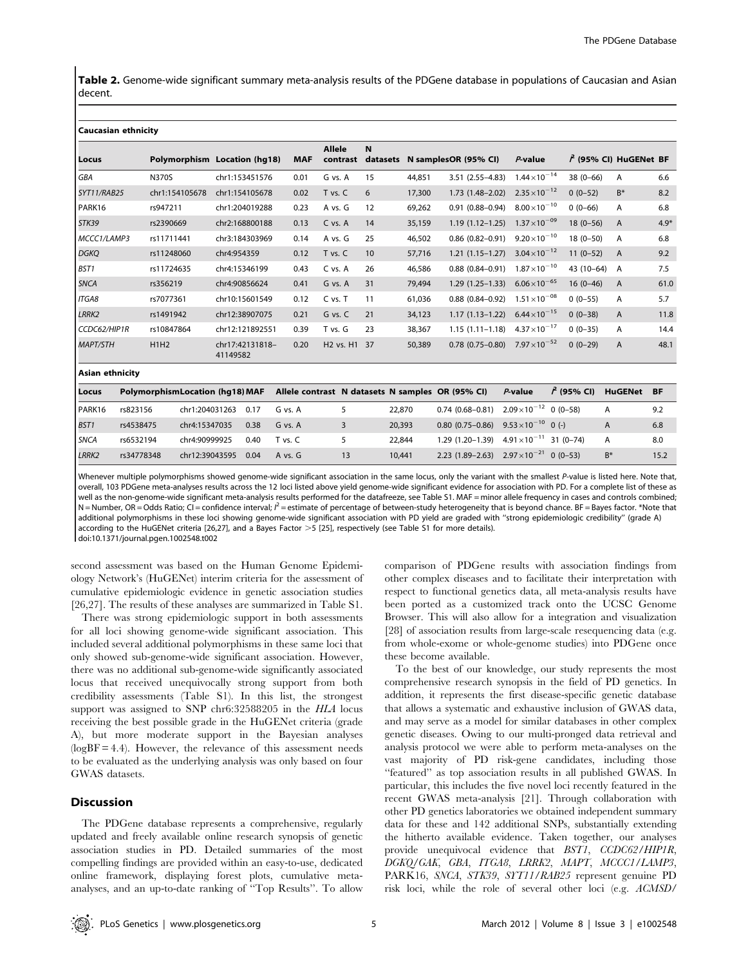Table 2. Genome-wide significant summary meta-analysis results of the PDGene database in populations of Caucasian and Asian decent.

#### Caucasian ethnicity

|                   |                                        |                              |            | <b>Allele</b>                        | N        |                      |                                                  |                        |                         |                |           |
|-------------------|----------------------------------------|------------------------------|------------|--------------------------------------|----------|----------------------|--------------------------------------------------|------------------------|-------------------------|----------------|-----------|
| Locus             |                                        | Polymorphism Location (hq18) | <b>MAF</b> | contrast                             | datasets | N samplesOR (95% CI) |                                                  | P-value                | $f$ (95% CI) HuGENet BF |                |           |
| GBA               | <b>N370S</b>                           | chr1:153451576               | 0.01       | G vs. A                              | 15       | 44,851               | $3.51(2.55 - 4.83)$                              | $1.44 \times 10^{-14}$ | $38(0 - 66)$            | A              | 6.6       |
| SYT11/RAB25       | chr1:154105678                         | chr1:154105678               | 0.02       | T vs. C                              | 6        | 17,300               | $1.73(1.48 - 2.02)$                              | $2.35 \times 10^{-12}$ | $0(0-52)$               | $B^*$          | 8.2       |
| PARK16            | rs947211                               | chr1:204019288               | 0.23       | A vs. G                              | 12       | 69,262               | $0.91(0.88 - 0.94)$                              | $8.00 \times 10^{-10}$ | $0(0-66)$               | A              | 6.8       |
| STK39             | rs2390669                              | chr2:168800188               | 0.13       | C vs. A                              | 14       | 35,159               | $1.19(1.12 - 1.25)$                              | $1.37 \times 10^{-09}$ | $18(0-56)$              | A              | $4.9*$    |
| MCCC1/LAMP3       | rs11711441                             | chr3:184303969               | 0.14       | A vs. G                              | 25       | 46,502               | $0.86(0.82 - 0.91)$                              | $9.20 \times 10^{-10}$ | $18(0-50)$              | A              | 6.8       |
| <b>DGKQ</b>       | rs11248060                             | chr4:954359                  | 0.12       | T vs. C                              | 10       | 57,716               | $1.21(1.15-1.27)$                                | $3.04 \times 10^{-12}$ | $11(0-52)$              | $\overline{A}$ | 9.2       |
| BST1              | rs11724635                             | chr4:15346199                | 0.43       | C vs. A                              | 26       | 46,586               | $0.88(0.84 - 0.91)$                              | $1.87 \times 10^{-10}$ | $43(10-64)$             | A              | 7.5       |
| <b>SNCA</b>       | rs356219                               | chr4:90856624                | 0.41       | G vs. A                              | 31       | 79,494               | $1.29(1.25 - 1.33)$                              | $6.06 \times 10^{-65}$ | $16(0-46)$              | A              | 61.0      |
| ITGA8             | rs7077361                              | chr10:15601549               | 0.12       | C vs. T                              | 11       | 61,036               | $0.88$ $(0.84 - 0.92)$                           | $1.51 \times 10^{-08}$ | $0(0-55)$               | Α              | 5.7       |
| LRRK <sub>2</sub> | rs1491942                              | chr12:38907075               | 0.21       | G vs. C                              | 21       | 34,123               | $1.17(1.13 - 1.22)$                              | $6.44 \times 10^{-15}$ | $0(0-38)$               | A              | 11.8      |
| CCDC62/HIP1R      | rs10847864                             | chr12:121892551              | 0.39       | T vs. G                              | 23       | 38,367               | $1.15(1.11 - 1.18)$                              | $4.37 \times 10^{-17}$ | $0(0-35)$               | A              | 14.4      |
| <b>MAPT/STH</b>   | H1H2                                   | chr17:42131818-<br>41149582  | 0.20       | H <sub>2</sub> vs. H <sub>1</sub> 37 |          | 50,389               | $0.78$ $(0.75 - 0.80)$                           | $7.97 \times 10^{-52}$ | $0(0-29)$               | A              | 48.1      |
| Asian ethnicity   |                                        |                              |            |                                      |          |                      |                                                  |                        |                         |                |           |
| Locus             | <b>PolymorphismLocation (hg18) MAF</b> |                              |            |                                      |          |                      | Allele contrast N datasets N samples OR (95% CI) | $P$ -value             | $\hat{r}$ (95% CI)      | <b>HuGENet</b> | <b>BF</b> |

| Locus            |            | PolymorphismLocation (hq18) MAF |      | Allele contrast N datasets N samples OR (95% CI) |    |        |                                                    | $P$ -value | 1 (95% CI) | HuGENet | <b>BF</b> |
|------------------|------------|---------------------------------|------|--------------------------------------------------|----|--------|----------------------------------------------------|------------|------------|---------|-----------|
| PARK16           | rs823156   | chr1:204031263                  | 0.17 | G vs. A                                          |    | 22,870 | $0.74$ (0.68-0.81) $2.09 \times 10^{-12}$ 0 (0-58) |            |            | А       | 9.2       |
| BST <sub>1</sub> | rs4538475  | chr4:15347035                   | 0.38 | G vs. A                                          |    | 20,393 | 0.80 (0.75–0.86) $9.53 \times 10^{-10}$ 0 (-)      |            |            |         | 6.8       |
| <b>SNCA</b>      | rs6532194  | chr4:90999925                   | 0.40 | T vs. C                                          |    | 22,844 | 1.29 (1.20–1.39) $4.91 \times 10^{-11}$ 31 (0–74)  |            |            | А       | 8.0       |
| <b>LRRK2</b>     | rs34778348 | chr12:39043595                  | 0.04 | A vs. G                                          | 13 | 10.441 | 2.23 (1.89–2.63) $2.97 \times 10^{-21}$ 0 (0–53)   |            |            | $B^*$   | 15.2      |

Whenever multiple polymorphisms showed genome-wide significant association in the same locus, only the variant with the smallest P-value is listed here. Note that, overall, 103 PDGene meta-analyses results across the 12 loci listed above yield genome-wide significant evidence for association with PD. For a complete list of these as well as the non-genome-wide significant meta-analysis results performed for the datafreeze, see Table S1. MAF = minor allele frequency in cases and controls combined; N = Number, OR = Odds Ratio; CI = confidence interval;  $l^2$  = estimate of percentage of between-study heterogeneity that is beyond chance. BF = Bayes factor. \*Note that additional polymorphisms in these loci showing genome-wide significant association with PD yield are graded with ''strong epidemiologic credibility'' (grade A) according to the HuGENet criteria [26,27], and a Bayes Factor  $>5$  [25], respectively (see Table S1 for more details).

doi:10.1371/journal.pgen.1002548.t002

second assessment was based on the Human Genome Epidemiology Network's (HuGENet) interim criteria for the assessment of cumulative epidemiologic evidence in genetic association studies [26,27]. The results of these analyses are summarized in Table S1.

There was strong epidemiologic support in both assessments for all loci showing genome-wide significant association. This included several additional polymorphisms in these same loci that only showed sub-genome-wide significant association. However, there was no additional sub-genome-wide significantly associated locus that received unequivocally strong support from both credibility assessments (Table S1). In this list, the strongest support was assigned to SNP chr6:32588205 in the HLA locus receiving the best possible grade in the HuGENet criteria (grade A), but more moderate support in the Bayesian analyses  $(logBF = 4.4)$ . However, the relevance of this assessment needs to be evaluated as the underlying analysis was only based on four GWAS datasets.

#### **Discussion**

The PDGene database represents a comprehensive, regularly updated and freely available online research synopsis of genetic association studies in PD. Detailed summaries of the most compelling findings are provided within an easy-to-use, dedicated online framework, displaying forest plots, cumulative metaanalyses, and an up-to-date ranking of ''Top Results''. To allow

comparison of PDGene results with association findings from other complex diseases and to facilitate their interpretation with respect to functional genetics data, all meta-analysis results have been ported as a customized track onto the UCSC Genome Browser. This will also allow for a integration and visualization [28] of association results from large-scale resequencing data (e.g. from whole-exome or whole-genome studies) into PDGene once these become available.

To the best of our knowledge, our study represents the most comprehensive research synopsis in the field of PD genetics. In addition, it represents the first disease-specific genetic database that allows a systematic and exhaustive inclusion of GWAS data, and may serve as a model for similar databases in other complex genetic diseases. Owing to our multi-pronged data retrieval and analysis protocol we were able to perform meta-analyses on the vast majority of PD risk-gene candidates, including those ''featured'' as top association results in all published GWAS. In particular, this includes the five novel loci recently featured in the recent GWAS meta-analysis [21]. Through collaboration with other PD genetics laboratories we obtained independent summary data for these and 142 additional SNPs, substantially extending the hitherto available evidence. Taken together, our analyses provide unequivocal evidence that BST1, CCDC62/HIP1R, DGKQ/GAK, GBA, ITGA8, LRRK2, MAPT, MCCC1/LAMP3, PARK16, SNCA, STK39, SYT11/RAB25 represent genuine PD risk loci, while the role of several other loci (e.g. ACMSD/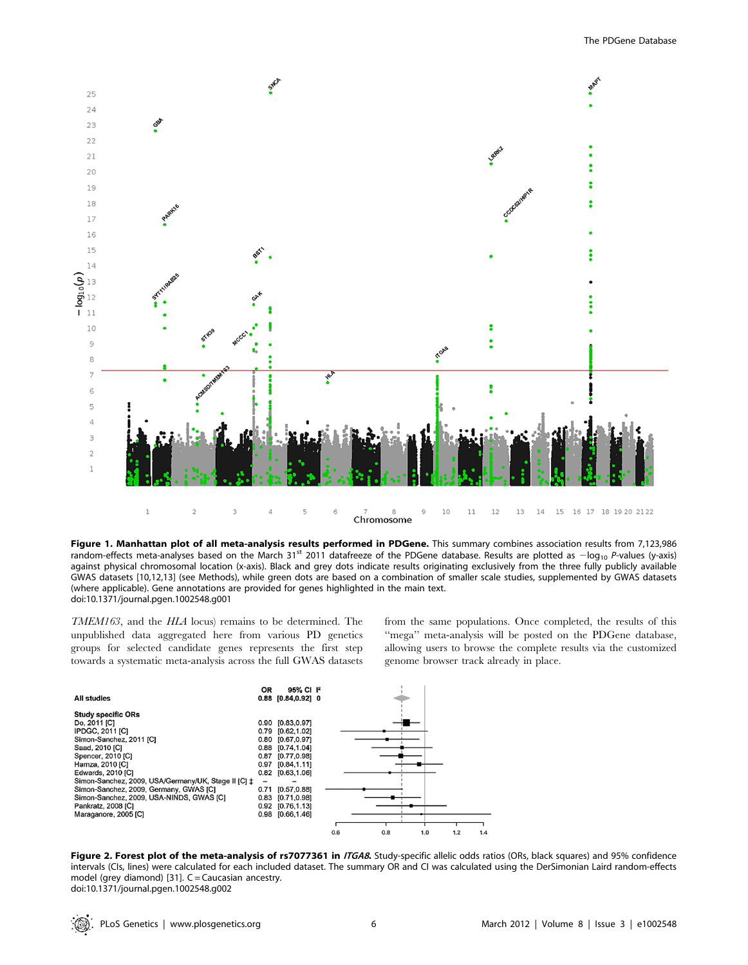

Figure 1. Manhattan plot of all meta-analysis results performed in PDGene. This summary combines association results from 7,123,986 random-effects meta-analyses based on the March 31<sup>st</sup> 2011 datafreeze of the PDGene database. Results are plotted as  $-\log_{10} P$ -values (y-axis) against physical chromosomal location (x-axis). Black and grey dots indicate results originating exclusively from the three fully publicly available GWAS datasets [10,12,13] (see Methods), while green dots are based on a combination of smaller scale studies, supplemented by GWAS datasets (where applicable). Gene annotations are provided for genes highlighted in the main text. doi:10.1371/journal.pgen.1002548.g001

TMEM163, and the HLA locus) remains to be determined. The unpublished data aggregated here from various PD genetics groups for selected candidate genes represents the first step towards a systematic meta-analysis across the full GWAS datasets from the same populations. Once completed, the results of this ''mega'' meta-analysis will be posted on the PDGene database, allowing users to browse the complete results via the customized genome browser track already in place.



Figure 2. Forest plot of the meta-analysis of rs7077361 in ITGA8. Study-specific allelic odds ratios (ORs, black squares) and 95% confidence intervals (CIs, lines) were calculated for each included dataset. The summary OR and CI was calculated using the DerSimonian Laird random-effects model (grey diamond) [31].  $C =$  Caucasian ancestry. doi:10.1371/journal.pgen.1002548.g002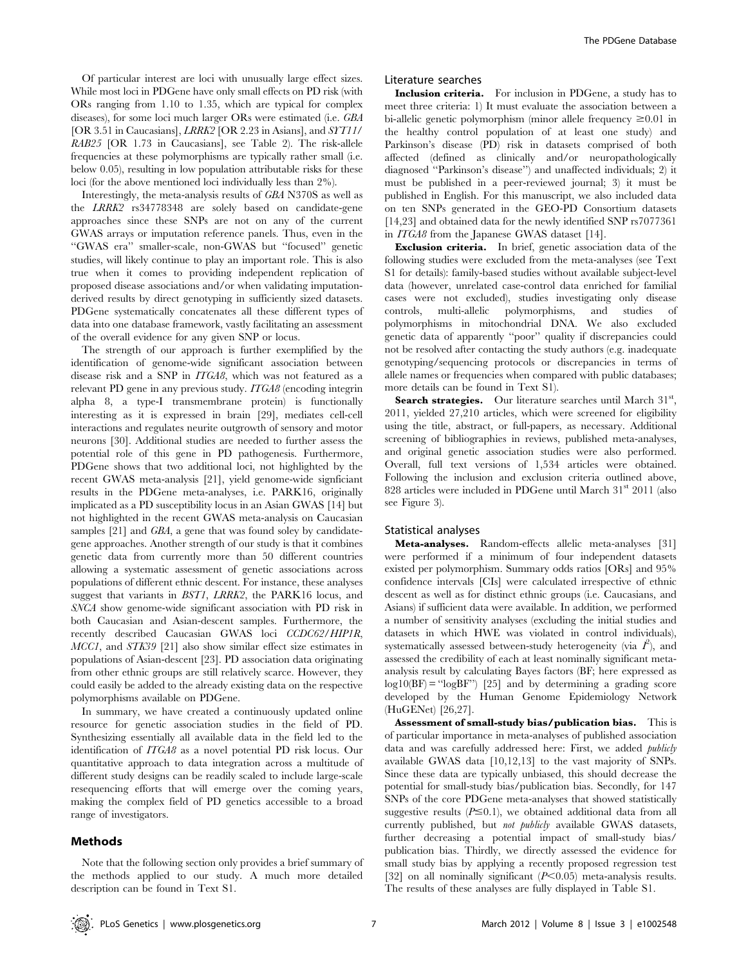Of particular interest are loci with unusually large effect sizes. While most loci in PDGene have only small effects on PD risk (with ORs ranging from 1.10 to 1.35, which are typical for complex diseases), for some loci much larger ORs were estimated (i.e. GBA [OR 3.51 in Caucasians], LRRK2 [OR 2.23 in Asians], and SYT11/ RAB25 [OR 1.73 in Caucasians], see Table 2). The risk-allele frequencies at these polymorphisms are typically rather small (i.e. below 0.05), resulting in low population attributable risks for these loci (for the above mentioned loci individually less than 2%).

Interestingly, the meta-analysis results of GBA N370S as well as the LRRK2 rs34778348 are solely based on candidate-gene approaches since these SNPs are not on any of the current GWAS arrays or imputation reference panels. Thus, even in the ''GWAS era'' smaller-scale, non-GWAS but ''focused'' genetic studies, will likely continue to play an important role. This is also true when it comes to providing independent replication of proposed disease associations and/or when validating imputationderived results by direct genotyping in sufficiently sized datasets. PDGene systematically concatenates all these different types of data into one database framework, vastly facilitating an assessment of the overall evidence for any given SNP or locus.

The strength of our approach is further exemplified by the identification of genome-wide significant association between disease risk and a SNP in ITGA8, which was not featured as a relevant PD gene in any previous study. ITGA8 (encoding integrin alpha 8, a type-I transmembrane protein) is functionally interesting as it is expressed in brain [29], mediates cell-cell interactions and regulates neurite outgrowth of sensory and motor neurons [30]. Additional studies are needed to further assess the potential role of this gene in PD pathogenesis. Furthermore, PDGene shows that two additional loci, not highlighted by the recent GWAS meta-analysis [21], yield genome-wide signficiant results in the PDGene meta-analyses, i.e. PARK16, originally implicated as a PD susceptibility locus in an Asian GWAS [14] but not highlighted in the recent GWAS meta-analysis on Caucasian samples [21] and *GBA*, a gene that was found soley by candidategene approaches. Another strength of our study is that it combines genetic data from currently more than 50 different countries allowing a systematic assessment of genetic associations across populations of different ethnic descent. For instance, these analyses suggest that variants in BST1, LRRK2, the PARK16 locus, and SNCA show genome-wide significant association with PD risk in both Caucasian and Asian-descent samples. Furthermore, the recently described Caucasian GWAS loci CCDC62/HIP1R, MCC1, and STK39 [21] also show similar effect size estimates in populations of Asian-descent [23]. PD association data originating from other ethnic groups are still relatively scarce. However, they could easily be added to the already existing data on the respective polymorphisms available on PDGene.

In summary, we have created a continuously updated online resource for genetic association studies in the field of PD. Synthesizing essentially all available data in the field led to the identification of ITGA8 as a novel potential PD risk locus. Our quantitative approach to data integration across a multitude of different study designs can be readily scaled to include large-scale resequencing efforts that will emerge over the coming years, making the complex field of PD genetics accessible to a broad range of investigators.

#### Methods

#### Literature searches

Inclusion criteria. For inclusion in PDGene, a study has to meet three criteria: 1) It must evaluate the association between a bi-allelic genetic polymorphism (minor allele frequency  $\geq 0.01$  in the healthy control population of at least one study) and Parkinson's disease (PD) risk in datasets comprised of both affected (defined as clinically and/or neuropathologically diagnosed ''Parkinson's disease'') and unaffected individuals; 2) it must be published in a peer-reviewed journal; 3) it must be published in English. For this manuscript, we also included data on ten SNPs generated in the GEO-PD Consortium datasets [14,23] and obtained data for the newly identified SNP rs7077361 in ITGA8 from the Japanese GWAS dataset [14].

Exclusion criteria. In brief, genetic association data of the following studies were excluded from the meta-analyses (see Text S1 for details): family-based studies without available subject-level data (however, unrelated case-control data enriched for familial cases were not excluded), studies investigating only disease controls, multi-allelic polymorphisms, and studies of polymorphisms in mitochondrial DNA. We also excluded genetic data of apparently ''poor'' quality if discrepancies could not be resolved after contacting the study authors (e.g. inadequate genotyping/sequencing protocols or discrepancies in terms of allele names or frequencies when compared with public databases; more details can be found in Text S1).

Search strategies. Our literature searches until March 31st, 2011, yielded 27,210 articles, which were screened for eligibility using the title, abstract, or full-papers, as necessary. Additional screening of bibliographies in reviews, published meta-analyses, and original genetic association studies were also performed. Overall, full text versions of 1,534 articles were obtained. Following the inclusion and exclusion criteria outlined above, 828 articles were included in PDGene until March 31<sup>st</sup> 2011 (also see Figure 3).

### Statistical analyses

Meta-analyses. Random-effects allelic meta-analyses [31] were performed if a minimum of four independent datasets existed per polymorphism. Summary odds ratios [ORs] and 95% confidence intervals [CIs] were calculated irrespective of ethnic descent as well as for distinct ethnic groups (i.e. Caucasians, and Asians) if sufficient data were available. In addition, we performed a number of sensitivity analyses (excluding the initial studies and datasets in which HWE was violated in control individuals), systematically assessed between-study heterogeneity (via  $I^2$ ), and assessed the credibility of each at least nominally significant metaanalysis result by calculating Bayes factors (BF; here expressed as  $log10(BF) =$ " $logBF$ ") [25] and by determining a grading score developed by the Human Genome Epidemiology Network (HuGENet) [26,27].

Assessment of small-study bias/publication bias. This is of particular importance in meta-analyses of published association data and was carefully addressed here: First, we added *publicly* available GWAS data [10,12,13] to the vast majority of SNPs. Since these data are typically unbiased, this should decrease the potential for small-study bias/publication bias. Secondly, for 147 SNPs of the core PDGene meta-analyses that showed statistically suggestive results  $(P \le 0.1)$ , we obtained additional data from all currently published, but not publicly available GWAS datasets, further decreasing a potential impact of small-study bias/ publication bias. Thirdly, we directly assessed the evidence for small study bias by applying a recently proposed regression test [32] on all nominally significant  $(P<0.05)$  meta-analysis results. The results of these analyses are fully displayed in Table S1.

Note that the following section only provides a brief summary of the methods applied to our study. A much more detailed description can be found in Text S1.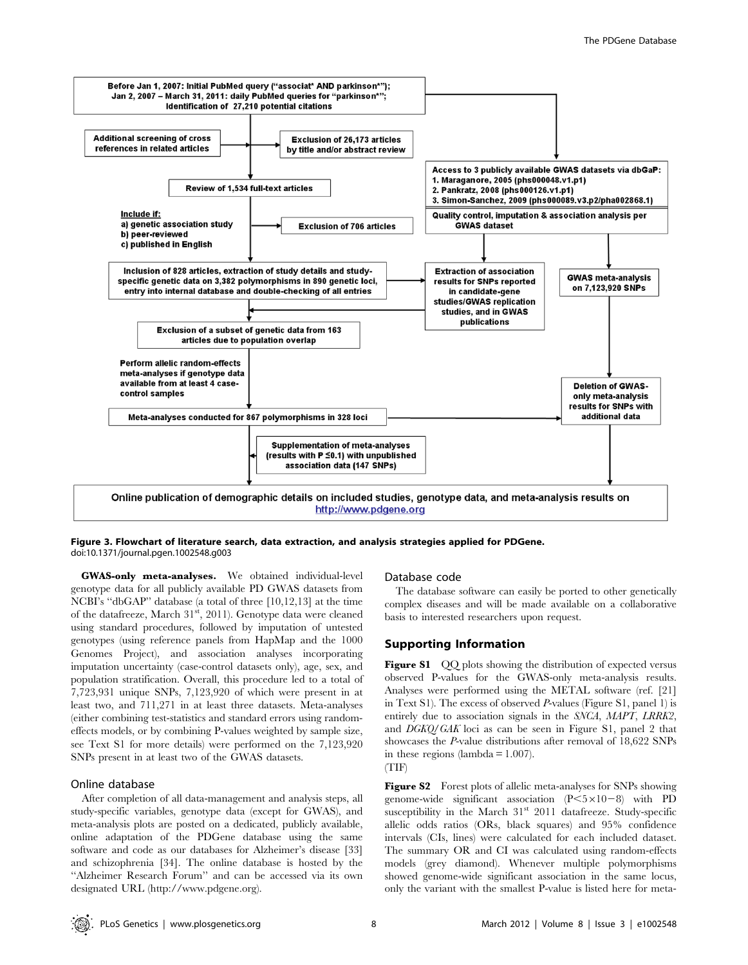

Figure 3. Flowchart of literature search, data extraction, and analysis strategies applied for PDGene. doi:10.1371/journal.pgen.1002548.g003

GWAS-only meta-analyses. We obtained individual-level genotype data for all publicly available PD GWAS datasets from NCBI's ''dbGAP'' database (a total of three [10,12,13] at the time of the datafreeze, March 31<sup>st</sup>, 2011). Genotype data were cleaned using standard procedures, followed by imputation of untested genotypes (using reference panels from HapMap and the 1000 Genomes Project), and association analyses incorporating imputation uncertainty (case-control datasets only), age, sex, and population stratification. Overall, this procedure led to a total of 7,723,931 unique SNPs, 7,123,920 of which were present in at least two, and 711,271 in at least three datasets. Meta-analyses (either combining test-statistics and standard errors using randomeffects models, or by combining P-values weighted by sample size, see Text S1 for more details) were performed on the 7,123,920 SNPs present in at least two of the GWAS datasets.

## Online database

After completion of all data-management and analysis steps, all study-specific variables, genotype data (except for GWAS), and meta-analysis plots are posted on a dedicated, publicly available, online adaptation of the PDGene database using the same software and code as our databases for Alzheimer's disease [33] and schizophrenia [34]. The online database is hosted by the ''Alzheimer Research Forum'' and can be accessed via its own designated URL (http://www.pdgene.org).

#### Database code

The database software can easily be ported to other genetically complex diseases and will be made available on a collaborative basis to interested researchers upon request.

## Supporting Information

Figure S1 QQ plots showing the distribution of expected versus observed P-values for the GWAS-only meta-analysis results. Analyses were performed using the METAL software (ref. [21] in Text S1). The excess of observed P-values (Figure S1, panel 1) is entirely due to association signals in the SNCA, MAPT, LRRK2, and DGKQ/GAK loci as can be seen in Figure S1, panel 2 that showcases the P-value distributions after removal of 18,622 SNPs in these regions (lambda  $= 1.007$ ).



Figure S2 Forest plots of allelic meta-analyses for SNPs showing genome-wide significant association  $(P<5\times10-8)$  with PD susceptibility in the March 31<sup>st</sup> 2011 datafreeze. Study-specific allelic odds ratios (ORs, black squares) and 95% confidence intervals (CIs, lines) were calculated for each included dataset. The summary OR and CI was calculated using random-effects models (grey diamond). Whenever multiple polymorphisms showed genome-wide significant association in the same locus, only the variant with the smallest P-value is listed here for meta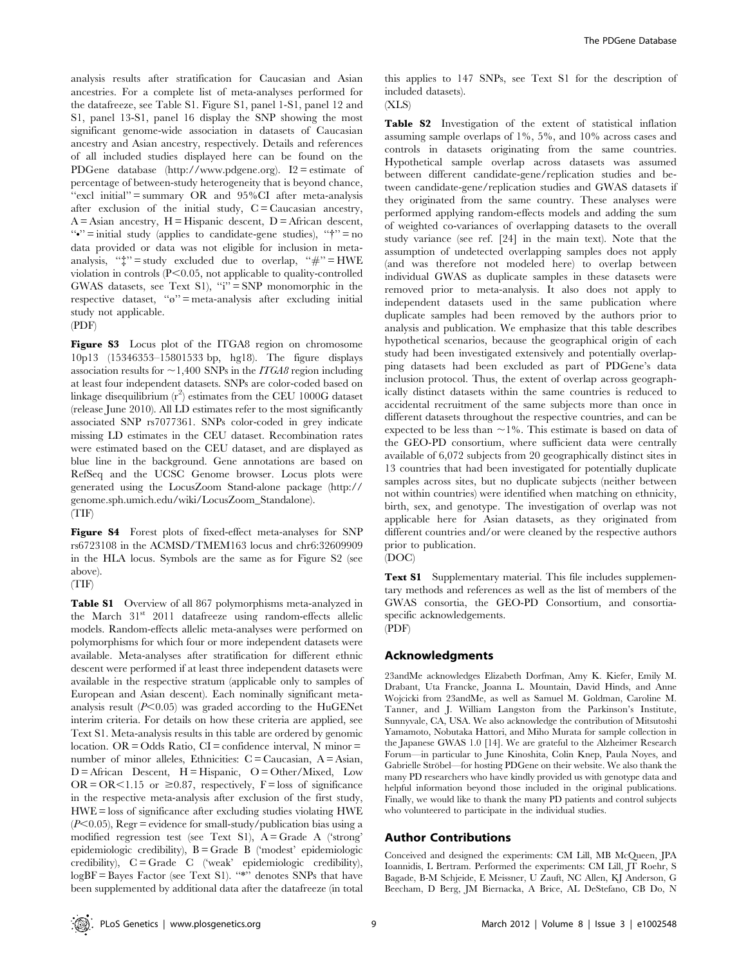analysis results after stratification for Caucasian and Asian ancestries. For a complete list of meta-analyses performed for the datafreeze, see Table S1. Figure S1, panel 1-S1, panel 12 and S1, panel 13-S1, panel 16 display the SNP showing the most significant genome-wide association in datasets of Caucasian ancestry and Asian ancestry, respectively. Details and references of all included studies displayed here can be found on the PDGene database (http://www.pdgene.org). I2 = estimate of percentage of between-study heterogeneity that is beyond chance, " $excl$  initial" = summary OR and  $95\%$ CI after meta-analysis after exclusion of the initial study,  $C = Caucasian$  ancestry,  $A =$ Asian ancestry,  $H =$ Hispanic descent,  $D =$ African descent,  $\mathbf{w} = \text{initial study}$  (applies to candidate-gene studies),  $\mathbf{w} = \mathbf{n}$ data provided or data was not eligible for inclusion in metaanalysis, " $\ddagger$ " = study excluded due to overlap, " $\#$ " = HWE violation in controls  $(P<0.05$ , not applicable to quality-controlled GWAS datasets, see Text S1), "i" = SNP monomorphic in the respective dataset, " $\omega$ " = meta-analysis after excluding initial study not applicable.

(PDF)

Figure S3 Locus plot of the ITGA8 region on chromosome 10p13 (15346353–15801533 bp, hg18). The figure displays association results for  $\sim$  1,400 SNPs in the *ITGA8* region including at least four independent datasets. SNPs are color-coded based on linkage disequilibrium  $(r^2)$  estimates from the CEU 1000G dataset (release June 2010). All LD estimates refer to the most significantly associated SNP rs7077361. SNPs color-coded in grey indicate missing LD estimates in the CEU dataset. Recombination rates were estimated based on the CEU dataset, and are displayed as blue line in the background. Gene annotations are based on RefSeq and the UCSC Genome browser. Locus plots were generated using the LocusZoom Stand-alone package (http:// genome.sph.umich.edu/wiki/LocusZoom\_Standalone). (TIF)

Figure S4 Forest plots of fixed-effect meta-analyses for SNP rs6723108 in the ACMSD/TMEM163 locus and chr6:32609909 in the HLA locus. Symbols are the same as for Figure S2 (see above).

(TIF)

Table S1 Overview of all 867 polymorphisms meta-analyzed in the March 31<sup>st</sup> 2011 datafreeze using random-effects allelic models. Random-effects allelic meta-analyses were performed on polymorphisms for which four or more independent datasets were available. Meta-analyses after stratification for different ethnic descent were performed if at least three independent datasets were available in the respective stratum (applicable only to samples of European and Asian descent). Each nominally significant metaanalysis result  $(P<0.05)$  was graded according to the HuGENet interim criteria. For details on how these criteria are applied, see Text S1. Meta-analysis results in this table are ordered by genomic location. OR = Odds Ratio, CI = confidence interval, N minor = number of minor alleles, Ethnicities:  $C = Caucasian$ ,  $A = Asian$ ,  $D =$  African Descent,  $H =$  Hispanic,  $O =$  Other/Mixed, Low  $OR = OR < 1.15$  or  $\geq 0.87$ , respectively, F = loss of significance in the respective meta-analysis after exclusion of the first study, HWE = loss of significance after excluding studies violating HWE  $(P<0.05)$ , Regr = evidence for small-study/publication bias using a modified regression test (see Text S1), A = Grade A ('strong' epidemiologic credibility), B = Grade B ('modest' epidemiologic credibility), C = Grade C ('weak' epidemiologic credibility),  $logBF = Bayes Factor$  (see Text S1). "\*" denotes SNPs that have been supplemented by additional data after the datafreeze (in total this applies to 147 SNPs, see Text S1 for the description of included datasets).

 $(XLS)$ 

Table S2 Investigation of the extent of statistical inflation assuming sample overlaps of 1%, 5%, and 10% across cases and controls in datasets originating from the same countries. Hypothetical sample overlap across datasets was assumed between different candidate-gene/replication studies and between candidate-gene/replication studies and GWAS datasets if they originated from the same country. These analyses were performed applying random-effects models and adding the sum of weighted co-variances of overlapping datasets to the overall study variance (see ref. [24] in the main text). Note that the assumption of undetected overlapping samples does not apply (and was therefore not modeled here) to overlap between individual GWAS as duplicate samples in these datasets were removed prior to meta-analysis. It also does not apply to independent datasets used in the same publication where duplicate samples had been removed by the authors prior to analysis and publication. We emphasize that this table describes hypothetical scenarios, because the geographical origin of each study had been investigated extensively and potentially overlapping datasets had been excluded as part of PDGene's data inclusion protocol. Thus, the extent of overlap across geographically distinct datasets within the same countries is reduced to accidental recruitment of the same subjects more than once in different datasets throughout the respective countries, and can be expected to be less than  $\sim$  1%. This estimate is based on data of the GEO-PD consortium, where sufficient data were centrally available of 6,072 subjects from 20 geographically distinct sites in 13 countries that had been investigated for potentially duplicate samples across sites, but no duplicate subjects (neither between not within countries) were identified when matching on ethnicity, birth, sex, and genotype. The investigation of overlap was not applicable here for Asian datasets, as they originated from different countries and/or were cleaned by the respective authors prior to publication.

(DOC)

Text S1 Supplementary material. This file includes supplementary methods and references as well as the list of members of the GWAS consortia, the GEO-PD Consortium, and consortiaspecific acknowledgements.

(PDF)

## Acknowledgments

23andMe acknowledges Elizabeth Dorfman, Amy K. Kiefer, Emily M. Drabant, Uta Francke, Joanna L. Mountain, David Hinds, and Anne Wojcicki from 23andMe, as well as Samuel M. Goldman, Caroline M. Tanner, and J. William Langston from the Parkinson's Institute, Sunnyvale, CA, USA. We also acknowledge the contribution of Mitsutoshi Yamamoto, Nobutaka Hattori, and Miho Murata for sample collection in the Japanese GWAS 1.0 [14]. We are grateful to the Alzheimer Research Forum—in particular to June Kinoshita, Colin Knep, Paula Noyes, and Gabrielle Ströbel—for hosting PDGene on their website. We also thank the many PD researchers who have kindly provided us with genotype data and helpful information beyond those included in the original publications. Finally, we would like to thank the many PD patients and control subjects who volunteered to participate in the individual studies.

## Author Contributions

Conceived and designed the experiments: CM Lill, MB McQueen, JPA Ioannidis, L Bertram. Performed the experiments: CM Lill, JT Roehr, S Bagade, B-M Schjeide, E Meissner, U Zauft, NC Allen, KJ Anderson, G Beecham, D Berg, JM Biernacka, A Brice, AL DeStefano, CB Do, N